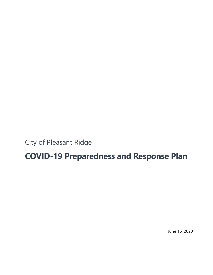City of Pleasant Ridge

# **COVID-19 Preparedness and Response Plan**

June 16, 2020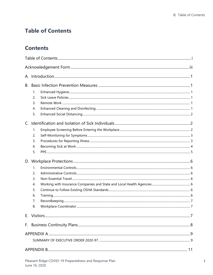# <span id="page-2-0"></span>**Table of Contents**

# **Contents**

| В.<br>C. | 1.<br>2.<br>3.<br>4.<br>5.<br>1.             |  |  |  |  |  |
|----------|----------------------------------------------|--|--|--|--|--|
|          | 2.<br>3.<br>4.<br>5.                         |  |  |  |  |  |
|          |                                              |  |  |  |  |  |
|          | 1.<br>2.<br>3.<br>4.<br>5.<br>6.<br>7.<br>8. |  |  |  |  |  |
|          |                                              |  |  |  |  |  |
|          |                                              |  |  |  |  |  |
|          |                                              |  |  |  |  |  |
|          |                                              |  |  |  |  |  |
|          |                                              |  |  |  |  |  |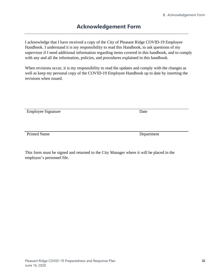# **Acknowledgement Form**

<span id="page-4-0"></span>I acknowledge that I have received a copy of the City of Pleasant Ridge COVID-19 Employee Handbook. I understand it is my responsibility to read this Handbook, to ask questions of my supervisor if I need additional information regarding items covered in this handbook, and to comply with any and all the information, policies, and procedures explained in this handbook.

When revisions occur, it is my responsibility to read the updates and comply with the changes as well as keep my personal copy of the COVID-19 Employee Handbook up to date by inserting the revisions when issued.

Employee Signature Date

Printed Name Department

This form must be signed and returned to the City Manager where it will be placed in the employee's personnel file.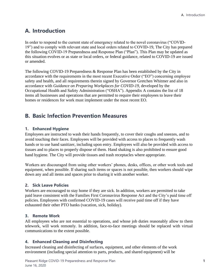# <span id="page-6-0"></span>**A. Introduction**

In order to respond to the current state of emergency related to the novel coronavirus ("COVID-19") and to comply with relevant state and local orders related to COVID-19, The City has prepared the following COVID-19 Preparedness and Response Plan ("Plan"). This Plan may be updated as this situation evolves or as state or local orders, or federal guidance, related to COVID-19 are issued or amended.

The following COVID-19 Preparedness & Response Plan has been established by the City in accordance with the requirements in the most recent Executive Order ("EO") concerning employee safety and health, and all requirements therein signed by Governor Gretchen Whitmer and also in accordance with *Guidance on Preparing Workplaces for COVID-19*, developed by the Occupational Health and Safety Administration ("OSHA"). Appendix A contains the list of 18 items all businesses and operations that are permitted to require their employees to leave their homes or residences for work must implement under the most recent EO.

# <span id="page-6-1"></span>**B. Basic Infection Prevention Measures**

#### <span id="page-6-2"></span>**1. Enhanced Hygiene**

Employees are instructed to wash their hands frequently, to cover their coughs and sneezes, and to avoid touching their faces. Employees will be provided with access to places to frequently wash hands or to use hand sanitizer, including upon entry. Employees will also be provided with access to tissues and to places to properly dispose of them. Hand shaking is also prohibited to ensure good hand hygiene. The City will provide tissues and trash receptacles where appropriate.

Workers are discouraged from using other workers' phones, desks, offices, or other work tools and equipment, when possible. If sharing such items or spaces is not possible, then workers should wipe down any and all items and spaces prior to sharing it with another worker.

#### <span id="page-6-3"></span>**2. Sick Leave Policies**

Workers are encouraged to stay home if they are sick. In addition, workers are permitted to take paid leave consistent with the Families First Coronavirus Response Act and the City's paid time off policies. Employees with confirmed COVID-19 cases will receive paid time off if they have exhausted their other PTO banks (vacation, sick, holiday).

#### <span id="page-6-4"></span>**3. Remote Work**

All employees who are not essential to operations, and whose job duties reasonably allow to them telework, will work remotely. In addition, face-to-face meetings should be replaced with virtual communications to the extent possible.

#### <span id="page-6-5"></span>**4. Enhanced Cleaning and Disinfecting**

Increased cleaning and disinfecting of surfaces, equipment, and other elements of the work environment (including special attention to parts, products, and shared equipment) will be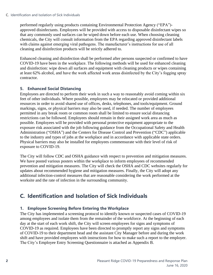performed regularly using products containing Environmental Protection Agency ("EPA") approved disinfectants. Employees will be provided with access to disposable disinfectant wipes so that any commonly used surfaces can be wiped down before each use. When choosing cleaning chemicals, the City will consult information from the EPA regarding approved disinfectant labels with claims against emerging viral pathogens. The manufacturer's instructions for use of all cleaning and disinfection products will be strictly adhered to.

Enhanced cleaning and disinfection shall be performed after persons suspected or confirmed to have COVID-19 have been in the workplace. The following methods will be used for enhanced cleaning and disinfection: wipe down all surfaces and equipment with cleaning products or wipes containing at least 62% alcohol, and have the work affected work areas disinfected by the City's fogging spray contractor.

#### <span id="page-7-0"></span>**5. Enhanced Social Distancing**

Employees are directed to perform their work in such a way to reasonably avoid coming within six feet of other individuals. Where possible, employees may be relocated or provided additional resources in order to avoid shared use of offices, desks, telephones, and tools/equipment. Ground markings, signs, or physical barriers may also be used, if needed. The number of employees permitted in any break room or common room shall be limited to ensure social distancing restrictions can be followed. Employees should remain in their assigned work area as much as possible. Employees will be provided with personal protective equipment appropriate to the exposure risk associated with the job following guidance from the Occupational Safety and Health Administration ("OSHA") and the Centers for Disease Control and Prevention ("CDC") applicable to the industry and types of jobs at the workplace and in accordance with applicable state orders. Physical barriers may also be installed for employees commensurate with their level of risk of exposure to COVID-19.

The City will follow CDC and OSHA guidance with respect to prevention and mitigation measures. We have posted various posters within the workplace to inform employees of recommended prevention and mitigation measures. The City will check the OSHA and CDC websites regularly for updates about recommended hygiene and mitigation measures. Finally, the City will adopt any additional infection-control measures that are reasonable considering the work performed at the worksite and the rate of infection in the surrounding community.

# <span id="page-7-1"></span>**C. Identification and Isolation of Sick Individuals**

#### <span id="page-7-2"></span>**1. Employee Screening Before Entering the Workplace**

The City has implemented a screening protocol to identify known or suspected cases of COVID-19 among employees and isolate them from the remainder of the workforce. At the beginning of each day at the start of each work shift, the City will screen employees for signs and symptoms of COVID-19 as required. Employees have been directed to promptly report any signs and symptoms of COVID-19 to their department head and the assistant City Manager before and during the work shift and have provided employees with instructions for how to make such a report to the employer. The City's Employee Entry Screening Questionnaire is attached as Appendix B.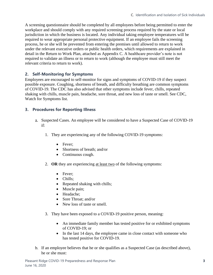A screening questionnaire should be completed by all employees before being permitted to enter the workplace and should comply with any required screening process required by the state or local jurisdiction in which the business is located. Any individual taking employee temperatures will be required to wear appropriate personal protective equipment. If an employee fails the screening process, he or she will be prevented from entering the premises until allowed to return to work under the relevant executive orders or public health orders, which requirements are explained in detail in the Return to Work Plan, attached as Appendix C. A healthcare provider's note is not required to validate an illness or to return to work (although the employee must still meet the relevant criteria to return to work).

#### <span id="page-8-0"></span>**2. Self-Monitoring for Symptoms**

Employees are encouraged to self-monitor for signs and symptoms of COVID-19 if they suspect possible exposure. Coughing, shortness of breath, and difficulty breathing are common symptoms of COVID-19. The CDC has also advised that other symptoms include fever, chills, repeated shaking with chills, muscle pain, headache, sore throat, and new loss of taste or smell. See CDC, Watch for Symptoms list.

#### <span id="page-8-1"></span>**3. Procedures for Reporting Illness**

- Suspected Cases. An employee will be considered to have a Suspected Case of COVID-19 if:
	- 1. They are experiencing any of the following COVID-19 symptoms:
		- Fever:
		- Shortness of breath: and/or
		- Continuous cough.
	- 2. **OR** they are experiencing at least two of the following symptoms:
		- Fever:
		- Chills;
		- Repeated shaking with chills;
		- Muscle pain;
		- Headache;
		- Sore Throat: and/or
		- New loss of taste or smell.
	- 3. They have been exposed to a COVID-19 positive person, meaning:
		- An immediate family member has tested positive for or exhibited symptoms of COVID-19; or
		- In the last 14 days, the employee came in close contact with someone who has tested positive for COVID-19.
- b. If an employee believes that he or she qualifies as a Suspected Case (as described above), he or she must: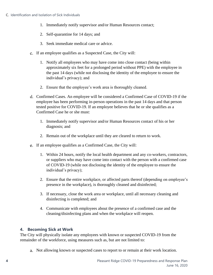- 1. Immediately notify supervisor and/or Human Resources contact;
- 2. Self-quarantine for 14 days; and
- 3. Seek immediate medical care or advice.
- c. If an employee qualifies as a Suspected Case, the City will:
	- 1. Notify all employees who may have come into close contact (being within approximately six feet for a prolonged period without PPE) with the employee in the past 14 days (while not disclosing the identity of the employee to ensure the individual's privacy); and
	- 2. Ensure that the employee's work area is thoroughly cleaned.
- Confirmed Cases. An employee will be considered a Confirmed Case of COVID-19 if the employee has been performing in-person operations in the past 14 days and that person tested positive for COVID-19. If an employee believes that he or she qualifies as a Confirmed Case he or she must:
	- 1. Immediately notify supervisor and/or Human Resources contact of his or her diagnosis; and
	- 2. Remain out of the workplace until they are cleared to return to work.
- If an employee qualifies as a Confirmed Case, the City will:
	- 1. Within 24 hours, notify the local health department and any co-workers, contractors, or suppliers who may have come into contact with the person with a confirmed case of COVID-19 (while not disclosing the identity of the employee to ensure the individual's privacy);
	- 2. Ensure that the entire workplace, or affected parts thereof (depending on employee's presence in the workplace), is thoroughly cleaned and disinfected;
	- 3. If necessary, close the work area or workplace, until all necessary cleaning and disinfecting is completed; and
	- 4. Communicate with employees about the presence of a confirmed case and the cleaning/disinfecting plans and when the workplace will reopen.

#### <span id="page-9-0"></span>**4. Becoming Sick at Work**

The City will physically isolate any employees with known or suspected COVID-19 from the remainder of the workforce, using measures such as, but are not limited to:

Not allowing known or suspected cases to report to or remain at their work location.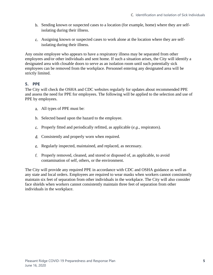- Sending known or suspected cases to a location (for example, home) where they are selfisolating during their illness.
- Assigning known or suspected cases to work alone at the location where they are selfisolating during their illness.

Any onsite employee who appears to have a respiratory illness may be separated from other employees and/or other individuals and sent home. If such a situation arises, the City will identify a designated area with closable doors to serve as an isolation room until such potentially sick employees can be removed from the workplace. Personnel entering any designated area will be strictly limited.

#### <span id="page-10-0"></span>**5. PPE**

The City will check the OSHA and CDC websites regularly for updates about recommended PPE and assess the need for PPE for employees. The following will be applied to the selection and use of PPE by employees.

- All types of PPE must be:
- b. Selected based upon the hazard to the employee.
- Properly fitted and periodically refitted, as applicable (*e.g.*, respirators).
- Consistently and properly worn when required.
- Regularly inspected, maintained, and replaced, as necessary.
- Properly removed, cleaned, and stored or disposed of, as applicable, to avoid contamination of self, others, or the environment.

The City will provide any required PPE in accordance with CDC and OSHA guidance as well as any state and local orders. Employees are required to wear masks when workers cannot consistently maintain six feet of separation from other individuals in the workplace. The City will also consider face shields when workers cannot consistently maintain three feet of separation from other individuals in the workplace.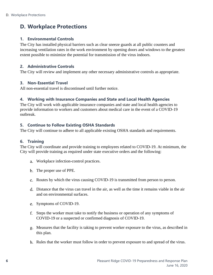# <span id="page-11-0"></span>**D. Workplace Protections**

#### <span id="page-11-1"></span>**1. Environmental Controls**

The City has installed physical barriers such as clear sneeze guards at all public counters and increasing ventilation rates in the work environment by opening doors and windows to the greatest extent possible to minimize the potential for transmission of the virus indoors.

#### <span id="page-11-2"></span>**2. Administrative Controls**

The City will review and implement any other necessary administrative controls as appropriate.

#### <span id="page-11-3"></span>**3. Non-Essential Travel**

All non-essential travel is discontinued until further notice.

#### <span id="page-11-4"></span>**4. Working with Insurance Companies and State and Local Health Agencies**

The City will work with applicable insurance companies and state and local health agencies to provide information to workers and customers about medical care in the event of a COVID-19 outbreak.

#### <span id="page-11-5"></span>**5. Continue to Follow Existing OSHA Standards**

The City will continue to adhere to all applicable existing OSHA standards and requirements.

#### <span id="page-11-6"></span>**6. Training**

The City will coordinate and provide training to employees related to COVID-19. At minimum, the City will provide training as required under state executive orders and the following:

- Workplace infection-control practices.
- b. The proper use of PPE.
- c. Routes by which the virus causing COVID-19 is transmitted from person to person.
- Distance that the virus can travel in the air, as well as the time it remains viable in the air and on environmental surfaces.
- e. Symptoms of COVID-19.
- Steps the worker must take to notify the business or operation of any symptoms of COVID-19 or a suspected or confirmed diagnosis of COVID-19.
- Measures that the facility is taking to prevent worker exposure to the virus, as described in this plan.
- Rules that the worker must follow in order to prevent exposure to and spread of the virus.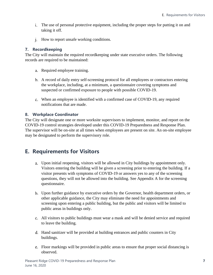- The use of personal protective equipment, including the proper steps for putting it on and taking it off.
- j. How to report unsafe working conditions.

#### <span id="page-12-0"></span>**7. Recordkeeping**

The City will maintain the required recordkeeping under state executive orders. The following records are required to be maintained:

- a. Required employee training.
- A record of daily entry self-screening protocol for all employees or contractors entering the workplace, including, at a minimum, a questionnaire covering symptoms and suspected or confirmed exposure to people with possible COVID-19.
- When an employee is identified with a confirmed case of COVID-19, any required notifications that are made.

#### <span id="page-12-1"></span>**8. Workplace Coordinator**

The City will designate one or more worksite supervisors to implement, monitor, and report on the COVID-19 control strategies developed under this COVID-19 Preparedness and Response Plan. The supervisor will be on-site at all times when employees are present on site. An on-site employee may be designated to perform the supervisory role.

# <span id="page-12-2"></span>**E. Requirements for Visitors**

- Upon initial reopening, visitors will be allowed in City buildings by appointment only. Visitors entering the building will be given a screening prior to entering the building. If a visitor presents with symptoms of COVID-19 or answers yes to any of the screening questions, they will not be allowed into the building. See Appendix A for the screening questionnaire.
- Upon further guidance by executive orders by the Governor, health department orders, or other applicable guidance, the City may eliminate the need for appointments and screening upon entering a public building, but the public and visitors will be limited to public areas in buildings only.
- All visitors to public buildings must wear a mask and will be denied service and required to leave the building.
- d. Hand sanitizer will be provided at building entrances and public counters in City buildings.
- Floor markings will be provided in public areas to ensure that proper social distancing is observed.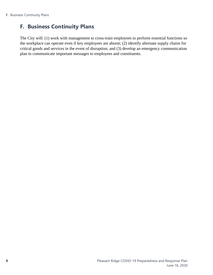# <span id="page-13-0"></span>**F. Business Continuity Plans**

The City will: (1) work with management to cross-train employees to perform essential functions so the workplace can operate even if key employees are absent; (2) identify alternate supply chains for critical goods and services in the event of disruption; and (3) develop an emergency communication plan to communicate important messages to employees and constituents.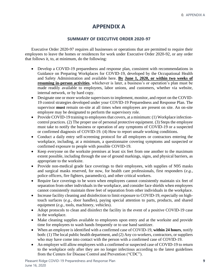## **APPENDIX A**

#### **SUMMARY OF EXECUTIVE ORDER 2020-97**

<span id="page-14-1"></span><span id="page-14-0"></span>Executive Order 2020-97 requires all businesses or operations that are permitted to require their employees to leave the homes or residences for work under Executive Order 2020-92, or any order that follows it, to, at minimum, do the following:

- Develop a COVID-19 preparedness and response plan, consistent with recommendations in Guidance on Preparing Workplaces for COVID-19, developed by the Occupational Health and Safety Administration and available here. **By June 1, 2020, or within two weeks of resuming in-person activities**, whichever is later, a business's or operation's plan must be made readily available to employees, labor unions, and customers, whether via website, internal network, or by hard copy.
- Designate one or more worksite supervisors to implement, monitor, and report on the COVID-19 control strategies developed under your COVID-19 Preparedness and Response Plan. The supervisor **must** remain on-site at all times when employees are present on site. An on-site employee may be designated to perform the supervisory role.
- Provide COVID-19 training to employees that covers, at a minimum: (1) Workplace infectioncontrol practices. (2) The proper use of personal protective equipment. (3) Steps the employee must take to notify the business or operation of any symptoms of COVID-19 or a suspected or confirmed diagnosis of COVID-19. (4) How to report unsafe working conditions.
- Conduct a daily entry self-screening protocol for all employees or contractors entering the workplace, including, at a minimum, a questionnaire covering symptoms and suspected or confirmed exposure to people with possible COVID-19.
- Keep everyone on the worksite premises at least six feet from one another to the maximum extent possible, including through the use of ground markings, signs, and physical barriers, as appropriate to the worksite.
- Provide non-medical grade face coverings to their employees, with supplies of N95 masks and surgical masks reserved, for now, for health care professionals, first responders (*e.g.*, police officers, fire fighters, paramedics), and other critical workers.
- Require face coverings to be worn when employees cannot consistently maintain six feet of separation from other individuals in the workplace, and consider face shields when employees cannot consistently maintain three feet of separation from other individuals in the workplace.
- Increase facility cleaning and disinfection to limit exposure to COVID-19, especially on hightouch surfaces (*e.g.*, door handles), paying special attention to parts, products, and shared equipment (*e.g.*, tools, machinery, vehicles).
- Adopt protocols to clean and disinfect the facility in the event of a positive COVID-19 case in the workplace.
- Make cleaning supplies available to employees upon entry and at the worksite and provide time for employees to wash hands frequently or to use hand sanitizer.
- When an employee is identified with a confirmed case of COVID-19, **within 24 hours**, notify both: (1) The local public health department, and (2) Any co-workers, contractors, or suppliers who may have come into contact with the person with a confirmed case of COVID-19.
- An employer will allow employees with a confirmed or suspected case of COVID-19 to return to the workplace only after they are no longer infectious according to the latest guidelines from the Centers for Disease Control and Prevention ("CDC").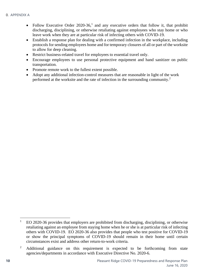- Follow Executive Order 2020-36,<sup>1</sup> and any executive orders that follow it, that prohibit discharging, disciplining, or otherwise retaliating against employees who stay home or who leave work when they are at particular risk of infecting others with COVID-19.
- Establish a response plan for dealing with a confirmed infection in the workplace, including protocols for sending employees home and for temporary closures of all or part of the worksite to allow for deep cleaning.
- Restrict business-related travel for employees to essential travel only.
- Encourage employees to use personal protective equipment and hand sanitizer on public transportation.
- Promote remote work to the fullest extent possible.
- Adopt any additional infection-control measures that are reasonable in light of the work performed at the worksite and the rate of infection in the surrounding community.<sup>2</sup>

 $1$  EO 2020-36 provides that employers are prohibited from discharging, disciplining, or otherwise retaliating against an employee from staying home when he or she is at particular risk of infecting others with COVID-19. EO 2020-36 also provides that people who test positive for COVID-19 or show the principal symptoms of COVID-19 should remain in their home until certain circumstances exist and address other return-to-work criteria.

<sup>&</sup>lt;sup>2</sup> Additional guidance on this requirement is expected to be forthcoming from state agencies/departments in accordance with Executive Directive No. 2020-6.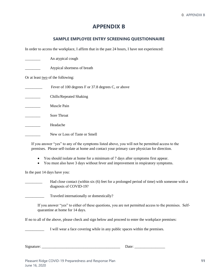### **APPENDIX B**

#### **SAMPLE EMPLOYEE ENTRY SCREENING QUESTIONNAIRE**

<span id="page-16-1"></span><span id="page-16-0"></span>In order to access the workplace, I affirm that in the past 24 hours, I have not experienced:

|                                   | An atypical cough                                  |  |  |  |
|-----------------------------------|----------------------------------------------------|--|--|--|
|                                   | Atypical shortness of breath                       |  |  |  |
| Or at least two of the following: |                                                    |  |  |  |
|                                   | Fever of 100 degrees F or 37.8 degrees C, or above |  |  |  |
|                                   | Chills/Repeated Shaking                            |  |  |  |
|                                   | Muscle Pain                                        |  |  |  |
|                                   | Sore Throat                                        |  |  |  |
|                                   | Headache                                           |  |  |  |
|                                   | New or Loss of Taste or Smell                      |  |  |  |

If you answer "yes" to any of the symptoms listed above, you will not be permitted access to the premises. Please self-isolate at home and contact your primary care physician for direction.

- You should isolate at home for a minimum of 7 days after symptoms first appear.
- You must also have 3 days without fever and improvement in respiratory symptoms.

In the past 14 days have you:

Had close contact (within six (6) feet for a prolonged period of time) with someone with a diagnosis of COVID-19?

Traveled internationally or domestically?

If you answer "yes" to either of these questions, you are not permitted access to the premises. Selfquarantine at home for 14 days.

If no to all of the above, please check and sign below and proceed to enter the workplace premises:

I will wear a face covering while in any public spaces within the premises.

 $Signature:$   $\qquad \qquad$  Date: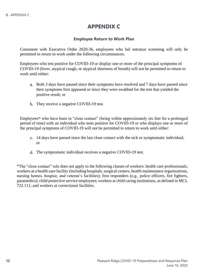### **APPENDIX C**

#### **Employee Return to Work Plan**

<span id="page-17-1"></span><span id="page-17-0"></span>Consistent with Executive Order 2020-36, employees who fail entrance screening will only be permitted to return to work under the following circumstances.

Employees who test positive for COVID-19 or display one or more of the principal symptoms of COVID-19 (fever, atypical cough, or atypical shortness of breath) will not be permitted to return to work until either:

- Both 3 days have passed since their symptoms have resolved and 7 days have passed since their symptoms first appeared or since they were swabbed for the test that yielded the positive result; or
- b. They receive a negative COVID-19 test.

Employees\* who have been in "close contact" (being within approximately six feet for a prolonged period of time) with an individual who tests positive for COVID-19 or who displays one or more of the principal symptoms of COVID-19 will not be permitted to return to work until either:

- 14 days have passed since the last close contact with the sick or symptomatic individual; or
- The symptomatic individual receives a negative COVID-19 test.

\*The "close contact" rule does not apply to the following classes of workers: health care professionals; workers at a health care facility (including hospitals, surgical centers, health maintenance organizations, nursing homes, hospice, and veteran's facilities); first responders (*e.g.*, police officers, fire fighters, paramedics); child protective service employees; workers at child caring institutions, as defined in MCL 722.111; and workers at correctional facilities.